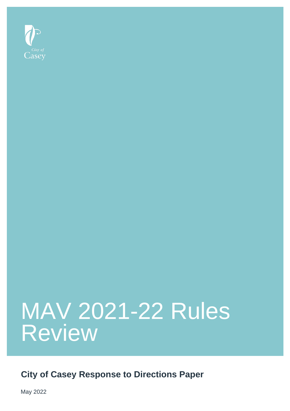

## MAV 2021-22 Rules Review

**City of Casey Response to Directions Paper**

May 2022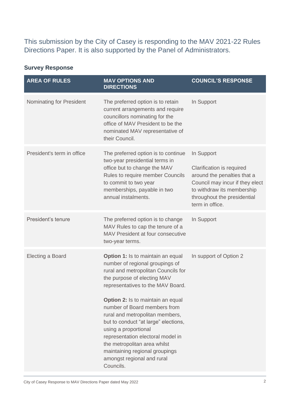This submission by the City of Casey is responding to the MAV 2021-22 Rules Directions Paper. It is also supported by the Panel of Administrators.

## **Survey Response**

| <b>AREA OF RULES</b>            | <b>MAV OPTIONS AND</b><br><b>DIRECTIONS</b>                                                                                                                                                                                                                                                                                                                                                                                                                                                                             | <b>COUNCIL'S RESPONSE</b>                                                                                                                                                                 |
|---------------------------------|-------------------------------------------------------------------------------------------------------------------------------------------------------------------------------------------------------------------------------------------------------------------------------------------------------------------------------------------------------------------------------------------------------------------------------------------------------------------------------------------------------------------------|-------------------------------------------------------------------------------------------------------------------------------------------------------------------------------------------|
| <b>Nominating for President</b> | The preferred option is to retain<br>current arrangements and require<br>councillors nominating for the<br>office of MAV President to be the<br>nominated MAV representative of<br>their Council.                                                                                                                                                                                                                                                                                                                       | In Support                                                                                                                                                                                |
| President's term in office      | The preferred option is to continue<br>two-year presidential terms in<br>office but to change the MAV<br>Rules to require member Councils<br>to commit to two year<br>memberships, payable in two<br>annual instalments.                                                                                                                                                                                                                                                                                                | In Support<br>Clarification is required<br>around the penalties that a<br>Council may incur if they elect<br>to withdraw its membership<br>throughout the presidential<br>term in office. |
| President's tenure              | The preferred option is to change<br>MAV Rules to cap the tenure of a<br>MAV President at four consecutive<br>two-year terms.                                                                                                                                                                                                                                                                                                                                                                                           | In Support                                                                                                                                                                                |
| <b>Electing a Board</b>         | <b>Option 1:</b> Is to maintain an equal<br>number of regional groupings of<br>rural and metropolitan Councils for<br>the purpose of electing MAV<br>representatives to the MAV Board.<br><b>Option 2:</b> Is to maintain an equal<br>number of Board members from<br>rural and metropolitan members,<br>but to conduct "at large" elections,<br>using a proportional<br>representation electoral model in<br>the metropolitan area whilst<br>maintaining regional groupings<br>amongst regional and rural<br>Councils. | In support of Option 2                                                                                                                                                                    |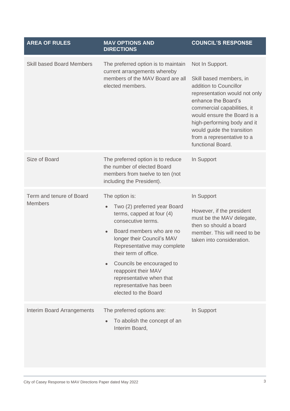| <b>AREA OF RULES</b>                       | <b>MAV OPTIONS AND</b><br><b>DIRECTIONS</b>                                                                                                                                                                                                                                                                                                                                      | <b>COUNCIL'S RESPONSE</b>                                                                                                                                                                                                                                                                                  |
|--------------------------------------------|----------------------------------------------------------------------------------------------------------------------------------------------------------------------------------------------------------------------------------------------------------------------------------------------------------------------------------------------------------------------------------|------------------------------------------------------------------------------------------------------------------------------------------------------------------------------------------------------------------------------------------------------------------------------------------------------------|
| <b>Skill based Board Members</b>           | The preferred option is to maintain<br>current arrangements whereby<br>members of the MAV Board are all<br>elected members.                                                                                                                                                                                                                                                      | Not In Support.<br>Skill based members, in<br>addition to Councillor<br>representation would not only<br>enhance the Board's<br>commercial capabilities, it<br>would ensure the Board is a<br>high-performing body and it<br>would guide the transition<br>from a representative to a<br>functional Board. |
| Size of Board                              | The preferred option is to reduce<br>the number of elected Board<br>members from twelve to ten (not<br>including the President).                                                                                                                                                                                                                                                 | In Support                                                                                                                                                                                                                                                                                                 |
| Term and tenure of Board<br><b>Members</b> | The option is:<br>Two (2) preferred year Board<br>$\bullet$<br>terms, capped at four (4)<br>consecutive terms.<br>Board members who are no<br>$\bullet$<br>longer their Council's MAV<br>Representative may complete<br>their term of office.<br>Councils be encouraged to<br>reappoint their MAV<br>representative when that<br>representative has been<br>elected to the Board | In Support<br>However, if the president<br>must be the MAV delegate,<br>then so should a board<br>member. This will need to be<br>taken into consideration.                                                                                                                                                |
| <b>Interim Board Arrangements</b>          | The preferred options are:<br>To abolish the concept of an<br>Interim Board,                                                                                                                                                                                                                                                                                                     | In Support                                                                                                                                                                                                                                                                                                 |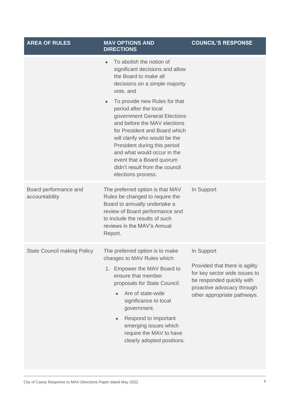| <b>AREA OF RULES</b>                    | <b>MAV OPTIONS AND</b><br><b>DIRECTIONS</b>                                                                                                                                                                                                                                                                                                                                                                                                                                                                    | <b>COUNCIL'S RESPONSE</b>                                                                                                                                               |
|-----------------------------------------|----------------------------------------------------------------------------------------------------------------------------------------------------------------------------------------------------------------------------------------------------------------------------------------------------------------------------------------------------------------------------------------------------------------------------------------------------------------------------------------------------------------|-------------------------------------------------------------------------------------------------------------------------------------------------------------------------|
|                                         | To abolish the notion of<br>$\bullet$<br>significant decisions and allow<br>the Board to make all<br>decisions on a simple majority<br>vote, and<br>To provide new Rules for that<br>$\bullet$<br>period after the local<br>government General Elections<br>and before the MAV elections<br>for President and Board which<br>will clarify who would be the<br>President during this period<br>and what would occur in the<br>event that a Board quorum<br>didn't result from the council<br>elections process. |                                                                                                                                                                         |
| Board performance and<br>accountability | The preferred option is that MAV<br>Rules be changed to require the<br>Board to annually undertake a<br>review of Board performance and<br>to include the results of such<br>reviews in the MAV's Annual<br>Report.                                                                                                                                                                                                                                                                                            | In Support                                                                                                                                                              |
| <b>State Council making Policy</b>      | The preferred option is to make<br>changes to MAV Rules which:<br>1. Empower the MAV Board to<br>ensure that member<br>proposals for State Council:<br>Are of state-wide<br>significance to local<br>government.<br>Respond to important<br>$\bullet$<br>emerging issues which<br>require the MAV to have<br>clearly adopted positions.                                                                                                                                                                        | In Support<br>Provided that there is agility<br>for key sector wide issues to<br>be responded quickly with<br>proactive advocacy through<br>other appropriate pathways. |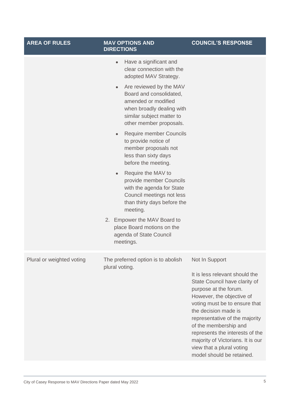| <b>AREA OF RULES</b>      | <b>MAV OPTIONS AND</b><br><b>DIRECTIONS</b>                                                                                                                                 | <b>COUNCIL'S RESPONSE</b>                                                                                                                                                                                                                                                                                                                                        |
|---------------------------|-----------------------------------------------------------------------------------------------------------------------------------------------------------------------------|------------------------------------------------------------------------------------------------------------------------------------------------------------------------------------------------------------------------------------------------------------------------------------------------------------------------------------------------------------------|
|                           | Have a significant and<br>$\bullet$<br>clear connection with the<br>adopted MAV Strategy.                                                                                   |                                                                                                                                                                                                                                                                                                                                                                  |
|                           | Are reviewed by the MAV<br>$\bullet$<br>Board and consolidated,<br>amended or modified<br>when broadly dealing with<br>similar subject matter to<br>other member proposals. |                                                                                                                                                                                                                                                                                                                                                                  |
|                           | Require member Councils<br>$\bullet$<br>to provide notice of<br>member proposals not<br>less than sixty days<br>before the meeting.                                         |                                                                                                                                                                                                                                                                                                                                                                  |
|                           | Require the MAV to<br>$\bullet$<br>provide member Councils<br>with the agenda for State<br>Council meetings not less<br>than thirty days before the<br>meeting.             |                                                                                                                                                                                                                                                                                                                                                                  |
|                           | 2. Empower the MAV Board to<br>place Board motions on the<br>agenda of State Council<br>meetings.                                                                           |                                                                                                                                                                                                                                                                                                                                                                  |
| Plural or weighted voting | The preferred option is to abolish<br>plural voting.                                                                                                                        | Not In Support<br>It is less relevant should the<br>State Council have clarity of<br>purpose at the forum.<br>However, the objective of<br>voting must be to ensure that<br>the decision made is<br>representative of the majority<br>of the membership and<br>represents the interests of the<br>majority of Victorians. It is our<br>view that a plural voting |